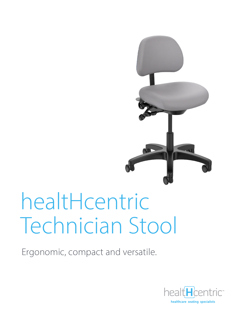

# healtHcentric **Technician Stool**

Ergonomic, compact and versatile.